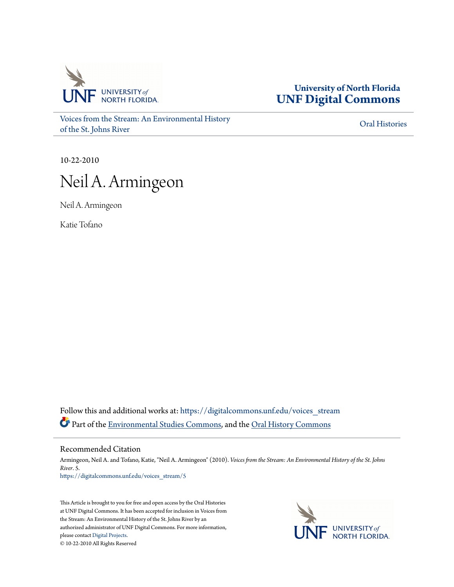

**University of North Florida [UNF Digital Commons](https://digitalcommons.unf.edu?utm_source=digitalcommons.unf.edu%2Fvoices_stream%2F5&utm_medium=PDF&utm_campaign=PDFCoverPages)**

[Voices from the Stream: An Environmental History](https://digitalcommons.unf.edu/voices_stream?utm_source=digitalcommons.unf.edu%2Fvoices_stream%2F5&utm_medium=PDF&utm_campaign=PDFCoverPages) [of the St. Johns River](https://digitalcommons.unf.edu/voices_stream?utm_source=digitalcommons.unf.edu%2Fvoices_stream%2F5&utm_medium=PDF&utm_campaign=PDFCoverPages)

[Oral Histories](https://digitalcommons.unf.edu/oral_histories?utm_source=digitalcommons.unf.edu%2Fvoices_stream%2F5&utm_medium=PDF&utm_campaign=PDFCoverPages)

10-22-2010

## Neil A. Armingeon

Neil A. Armingeon

Katie Tofano

Follow this and additional works at: [https://digitalcommons.unf.edu/voices\\_stream](https://digitalcommons.unf.edu/voices_stream?utm_source=digitalcommons.unf.edu%2Fvoices_stream%2F5&utm_medium=PDF&utm_campaign=PDFCoverPages) Part of the [Environmental Studies Commons](http://network.bepress.com/hgg/discipline/1333?utm_source=digitalcommons.unf.edu%2Fvoices_stream%2F5&utm_medium=PDF&utm_campaign=PDFCoverPages), and the [Oral History Commons](http://network.bepress.com/hgg/discipline/1195?utm_source=digitalcommons.unf.edu%2Fvoices_stream%2F5&utm_medium=PDF&utm_campaign=PDFCoverPages)

Recommended Citation

Armingeon, Neil A. and Tofano, Katie, "Neil A. Armingeon" (2010). *Voices from the Stream: An Environmental History of the St. Johns River*. 5. [https://digitalcommons.unf.edu/voices\\_stream/5](https://digitalcommons.unf.edu/voices_stream/5?utm_source=digitalcommons.unf.edu%2Fvoices_stream%2F5&utm_medium=PDF&utm_campaign=PDFCoverPages)

This Article is brought to you for free and open access by the Oral Histories at UNF Digital Commons. It has been accepted for inclusion in Voices from the Stream: An Environmental History of the St. Johns River by an authorized administrator of UNF Digital Commons. For more information, please contact [Digital Projects.](mailto:lib-digital@unf.edu) © 10-22-2010 All Rights Reserved

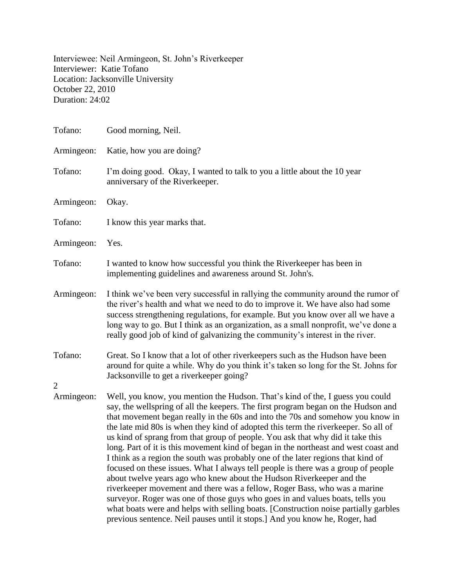Interviewee: Neil Armingeon, St. John's Riverkeeper Interviewer: Katie Tofano Location: Jacksonville University October 22, 2010 Duration: 24:02

| Tofano:                      | Good morning, Neil.                                                                                                                                                                                                                                                                                                                                                                                                                                                                                                                                                                                                                                                                                                                                                                                                                                                                                                                                                                                                                                                                                      |
|------------------------------|----------------------------------------------------------------------------------------------------------------------------------------------------------------------------------------------------------------------------------------------------------------------------------------------------------------------------------------------------------------------------------------------------------------------------------------------------------------------------------------------------------------------------------------------------------------------------------------------------------------------------------------------------------------------------------------------------------------------------------------------------------------------------------------------------------------------------------------------------------------------------------------------------------------------------------------------------------------------------------------------------------------------------------------------------------------------------------------------------------|
| Armingeon:                   | Katie, how you are doing?                                                                                                                                                                                                                                                                                                                                                                                                                                                                                                                                                                                                                                                                                                                                                                                                                                                                                                                                                                                                                                                                                |
| Tofano:                      | I'm doing good. Okay, I wanted to talk to you a little about the 10 year<br>anniversary of the Riverkeeper.                                                                                                                                                                                                                                                                                                                                                                                                                                                                                                                                                                                                                                                                                                                                                                                                                                                                                                                                                                                              |
| Armingeon:                   | Okay.                                                                                                                                                                                                                                                                                                                                                                                                                                                                                                                                                                                                                                                                                                                                                                                                                                                                                                                                                                                                                                                                                                    |
| Tofano:                      | I know this year marks that.                                                                                                                                                                                                                                                                                                                                                                                                                                                                                                                                                                                                                                                                                                                                                                                                                                                                                                                                                                                                                                                                             |
| Armingeon:                   | Yes.                                                                                                                                                                                                                                                                                                                                                                                                                                                                                                                                                                                                                                                                                                                                                                                                                                                                                                                                                                                                                                                                                                     |
| Tofano:                      | I wanted to know how successful you think the Riverkeeper has been in<br>implementing guidelines and awareness around St. John's.                                                                                                                                                                                                                                                                                                                                                                                                                                                                                                                                                                                                                                                                                                                                                                                                                                                                                                                                                                        |
| Armingeon:                   | I think we've been very successful in rallying the community around the rumor of<br>the river's health and what we need to do to improve it. We have also had some<br>success strengthening regulations, for example. But you know over all we have a<br>long way to go. But I think as an organization, as a small nonprofit, we've done a<br>really good job of kind of galvanizing the community's interest in the river.                                                                                                                                                                                                                                                                                                                                                                                                                                                                                                                                                                                                                                                                             |
| Tofano:                      | Great. So I know that a lot of other riverkeepers such as the Hudson have been<br>around for quite a while. Why do you think it's taken so long for the St. Johns for<br>Jacksonville to get a riverkeeper going?                                                                                                                                                                                                                                                                                                                                                                                                                                                                                                                                                                                                                                                                                                                                                                                                                                                                                        |
| $\overline{2}$<br>Armingeon: | Well, you know, you mention the Hudson. That's kind of the, I guess you could<br>say, the wellspring of all the keepers. The first program began on the Hudson and<br>that movement began really in the 60s and into the 70s and somehow you know in<br>the late mid 80s is when they kind of adopted this term the riverkeeper. So all of<br>us kind of sprang from that group of people. You ask that why did it take this<br>long. Part of it is this movement kind of began in the northeast and west coast and<br>I think as a region the south was probably one of the later regions that kind of<br>focused on these issues. What I always tell people is there was a group of people<br>about twelve years ago who knew about the Hudson Riverkeeper and the<br>riverkeeper movement and there was a fellow, Roger Bass, who was a marine<br>surveyor. Roger was one of those guys who goes in and values boats, tells you<br>what boats were and helps with selling boats. [Construction noise partially garbles<br>previous sentence. Neil pauses until it stops.] And you know he, Roger, had |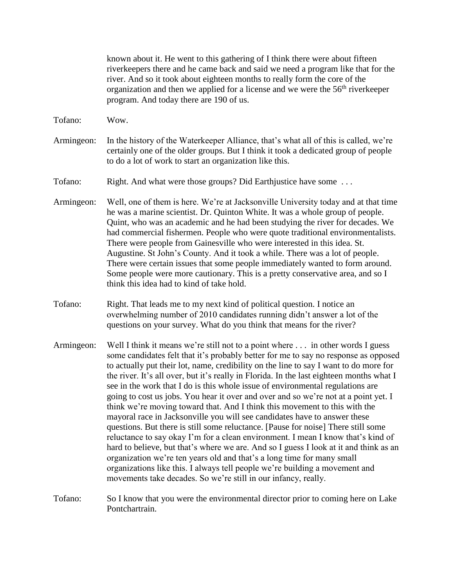known about it. He went to this gathering of I think there were about fifteen riverkeepers there and he came back and said we need a program like that for the river. And so it took about eighteen months to really form the core of the organization and then we applied for a license and we were the 56<sup>th</sup> riverkeeper program. And today there are 190 of us.

- Tofano: Wow.
- Armingeon: In the history of the Waterkeeper Alliance, that's what all of this is called, we're certainly one of the older groups. But I think it took a dedicated group of people to do a lot of work to start an organization like this.

Tofano: Right. And what were those groups? Did Earthjustice have some ...

- Armingeon: Well, one of them is here. We're at Jacksonville University today and at that time he was a marine scientist. Dr. Quinton White. It was a whole group of people. Quint, who was an academic and he had been studying the river for decades. We had commercial fishermen. People who were quote traditional environmentalists. There were people from Gainesville who were interested in this idea. St. Augustine. St John's County. And it took a while. There was a lot of people. There were certain issues that some people immediately wanted to form around. Some people were more cautionary. This is a pretty conservative area, and so I think this idea had to kind of take hold.
- Tofano: Right. That leads me to my next kind of political question. I notice an overwhelming number of 2010 candidates running didn't answer a lot of the questions on your survey. What do you think that means for the river?
- Armingeon: Well I think it means we're still not to a point where . . . in other words I guess some candidates felt that it's probably better for me to say no response as opposed to actually put their lot, name, credibility on the line to say I want to do more for the river. It's all over, but it's really in Florida. In the last eighteen months what I see in the work that I do is this whole issue of environmental regulations are going to cost us jobs. You hear it over and over and so we're not at a point yet. I think we're moving toward that. And I think this movement to this with the mayoral race in Jacksonville you will see candidates have to answer these questions. But there is still some reluctance. [Pause for noise] There still some reluctance to say okay I'm for a clean environment. I mean I know that's kind of hard to believe, but that's where we are. And so I guess I look at it and think as an organization we're ten years old and that's a long time for many small organizations like this. I always tell people we're building a movement and movements take decades. So we're still in our infancy, really.
- Tofano: So I know that you were the environmental director prior to coming here on Lake Pontchartrain.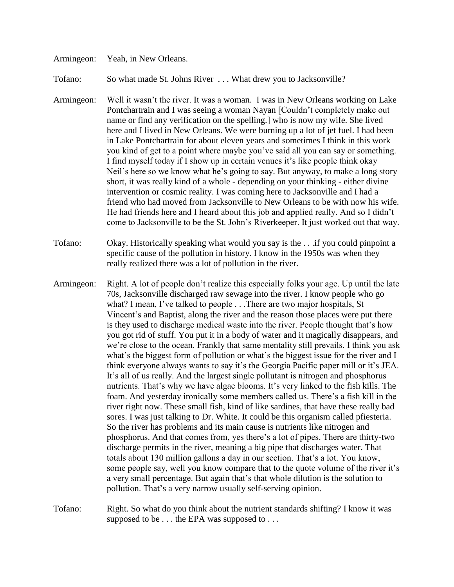## Armingeon: Yeah, in New Orleans.

Tofano: So what made St. Johns River . . . What drew you to Jacksonville?

Armingeon: Well it wasn't the river. It was a woman. I was in New Orleans working on Lake Pontchartrain and I was seeing a woman Nayan [Couldn't completely make out name or find any verification on the spelling.] who is now my wife. She lived here and I lived in New Orleans. We were burning up a lot of jet fuel. I had been in Lake Pontchartrain for about eleven years and sometimes I think in this work you kind of get to a point where maybe you've said all you can say or something. I find myself today if I show up in certain venues it's like people think okay Neil's here so we know what he's going to say. But anyway, to make a long story short, it was really kind of a whole - depending on your thinking - either divine intervention or cosmic reality. I was coming here to Jacksonville and I had a friend who had moved from Jacksonville to New Orleans to be with now his wife. He had friends here and I heard about this job and applied really. And so I didn't come to Jacksonville to be the St. John's Riverkeeper. It just worked out that way.

Tofano: Okay. Historically speaking what would you say is the . . .if you could pinpoint a specific cause of the pollution in history. I know in the 1950s was when they really realized there was a lot of pollution in the river.

- Armingeon: Right. A lot of people don't realize this especially folks your age. Up until the late 70s, Jacksonville discharged raw sewage into the river. I know people who go what? I mean, I've talked to people . . .There are two major hospitals, St Vincent's and Baptist, along the river and the reason those places were put there is they used to discharge medical waste into the river. People thought that's how you got rid of stuff. You put it in a body of water and it magically disappears, and we're close to the ocean. Frankly that same mentality still prevails. I think you ask what's the biggest form of pollution or what's the biggest issue for the river and I think everyone always wants to say it's the Georgia Pacific paper mill or it's JEA. It's all of us really. And the largest single pollutant is nitrogen and phosphorus nutrients. That's why we have algae blooms. It's very linked to the fish kills. The foam. And yesterday ironically some members called us. There's a fish kill in the river right now. These small fish, kind of like sardines, that have these really bad sores. I was just talking to Dr. White. It could be this organism called pfiesteria. So the river has problems and its main cause is nutrients like nitrogen and phosphorus. And that comes from, yes there's a lot of pipes. There are thirty-two discharge permits in the river, meaning a big pipe that discharges water. That totals about 130 million gallons a day in our section. That's a lot. You know, some people say, well you know compare that to the quote volume of the river it's a very small percentage. But again that's that whole dilution is the solution to pollution. That's a very narrow usually self-serving opinion.
- Tofano: Right. So what do you think about the nutrient standards shifting? I know it was supposed to be . . . the EPA was supposed to . . .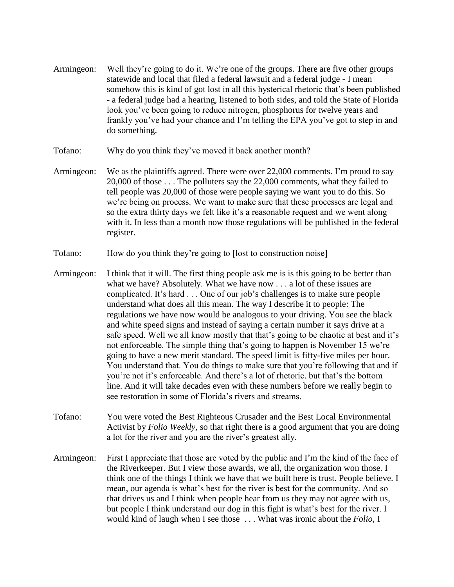- Armingeon: Well they're going to do it. We're one of the groups. There are five other groups statewide and local that filed a federal lawsuit and a federal judge - I mean somehow this is kind of got lost in all this hysterical rhetoric that's been published - a federal judge had a hearing, listened to both sides, and told the State of Florida look you've been going to reduce nitrogen, phosphorus for twelve years and frankly you've had your chance and I'm telling the EPA you've got to step in and do something.
- Tofano: Why do you think they've moved it back another month?
- Armingeon: We as the plaintiffs agreed. There were over 22,000 comments. I'm proud to say 20,000 of those . . . The polluters say the 22,000 comments, what they failed to tell people was 20,000 of those were people saying we want you to do this. So we're being on process. We want to make sure that these processes are legal and so the extra thirty days we felt like it's a reasonable request and we went along with it. In less than a month now those regulations will be published in the federal register.
- Tofano: How do you think they're going to [lost to construction noise]
- Armingeon: I think that it will. The first thing people ask me is is this going to be better than what we have? Absolutely. What we have now . . . a lot of these issues are complicated. It's hard . . . One of our job's challenges is to make sure people understand what does all this mean. The way I describe it to people: The regulations we have now would be analogous to your driving. You see the black and white speed signs and instead of saying a certain number it says drive at a safe speed. Well we all know mostly that that's going to be chaotic at best and it's not enforceable. The simple thing that's going to happen is November 15 we're going to have a new merit standard. The speed limit is fifty-five miles per hour. You understand that. You do things to make sure that you're following that and if you're not it's enforceable. And there's a lot of rhetoric. but that's the bottom line. And it will take decades even with these numbers before we really begin to see restoration in some of Florida's rivers and streams.
- Tofano: You were voted the Best Righteous Crusader and the Best Local Environmental Activist by *Folio Weekly,* so that right there is a good argument that you are doing a lot for the river and you are the river's greatest ally.
- Armingeon: First I appreciate that those are voted by the public and I'm the kind of the face of the Riverkeeper. But I view those awards, we all, the organization won those. I think one of the things I think we have that we built here is trust. People believe. I mean, our agenda is what's best for the river is best for the community. And so that drives us and I think when people hear from us they may not agree with us, but people I think understand our dog in this fight is what's best for the river. I would kind of laugh when I see those . . . What was ironic about the *Folio*, I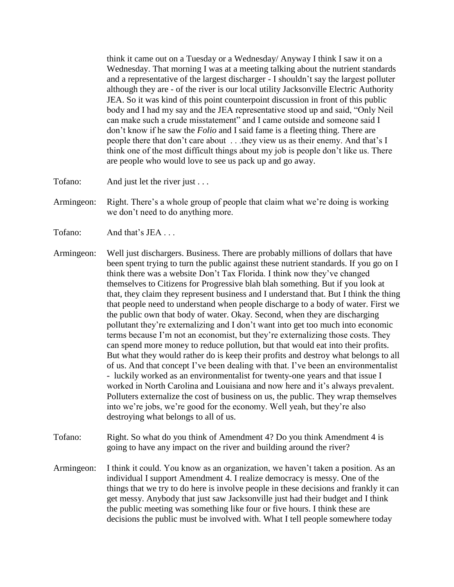think it came out on a Tuesday or a Wednesday/ Anyway I think I saw it on a Wednesday. That morning I was at a meeting talking about the nutrient standards and a representative of the largest discharger - I shouldn't say the largest polluter although they are - of the river is our local utility Jacksonville Electric Authority JEA. So it was kind of this point counterpoint discussion in front of this public body and I had my say and the JEA representative stood up and said, "Only Neil can make such a crude misstatement" and I came outside and someone said I don't know if he saw the *Folio* and I said fame is a fleeting thing. There are people there that don't care about . . .they view us as their enemy. And that's I think one of the most difficult things about my job is people don't like us. There are people who would love to see us pack up and go away.

- Tofano: And just let the river just . . .
- Armingeon: Right. There's a whole group of people that claim what we're doing is working we don't need to do anything more.
- Tofano: And that's JEA ...
- Armingeon: Well just dischargers. Business. There are probably millions of dollars that have been spent trying to turn the public against these nutrient standards. If you go on I think there was a website Don't Tax Florida. I think now they've changed themselves to Citizens for Progressive blah blah something. But if you look at that, they claim they represent business and I understand that. But I think the thing that people need to understand when people discharge to a body of water. First we the public own that body of water. Okay. Second, when they are discharging pollutant they're externalizing and I don't want into get too much into economic terms because I'm not an economist, but they're externalizing those costs. They can spend more money to reduce pollution, but that would eat into their profits. But what they would rather do is keep their profits and destroy what belongs to all of us. And that concept I've been dealing with that. I've been an environmentalist - luckily worked as an environmentalist for twenty-one years and that issue I worked in North Carolina and Louisiana and now here and it's always prevalent. Polluters externalize the cost of business on us, the public. They wrap themselves into we're jobs, we're good for the economy. Well yeah, but they're also destroying what belongs to all of us.
- Tofano: Right. So what do you think of Amendment 4? Do you think Amendment 4 is going to have any impact on the river and building around the river?
- Armingeon: I think it could. You know as an organization, we haven't taken a position. As an individual I support Amendment 4. I realize democracy is messy. One of the things that we try to do here is involve people in these decisions and frankly it can get messy. Anybody that just saw Jacksonville just had their budget and I think the public meeting was something like four or five hours. I think these are decisions the public must be involved with. What I tell people somewhere today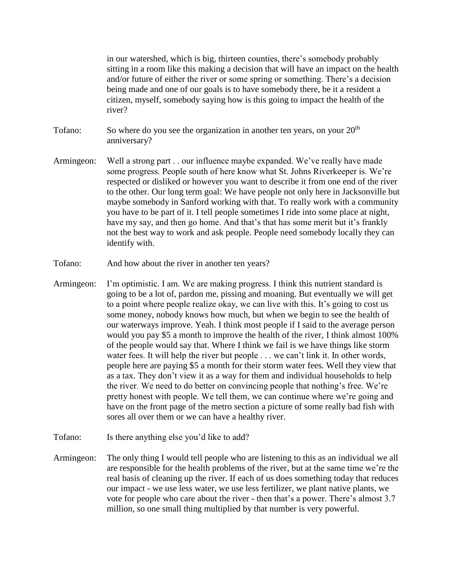in our watershed, which is big, thirteen counties, there's somebody probably sitting in a room like this making a decision that will have an impact on the health and/or future of either the river or some spring or something. There's a decision being made and one of our goals is to have somebody there, be it a resident a citizen, myself, somebody saying how is this going to impact the health of the river?

- Tofano: So where do you see the organization in another ten years, on your  $20<sup>th</sup>$ anniversary?
- Armingeon: Well a strong part . . our influence maybe expanded. We've really have made some progress. People south of here know what St. Johns Riverkeeper is. We're respected or disliked or however you want to describe it from one end of the river to the other. Our long term goal: We have people not only here in Jacksonville but maybe somebody in Sanford working with that. To really work with a community you have to be part of it. I tell people sometimes I ride into some place at night, have my say, and then go home. And that's that has some merit but it's frankly not the best way to work and ask people. People need somebody locally they can identify with.
- Tofano: And how about the river in another ten years?
- Armingeon: I'm optimistic. I am. We are making progress. I think this nutrient standard is going to be a lot of, pardon me, pissing and moaning. But eventually we will get to a point where people realize okay, we can live with this. It's going to cost us some money, nobody knows how much, but when we begin to see the health of our waterways improve. Yeah. I think most people if I said to the average person would you pay \$5 a month to improve the health of the river, I think almost 100% of the people would say that. Where I think we fail is we have things like storm water fees. It will help the river but people . . . we can't link it. In other words, people here are paying \$5 a month for their storm water fees. Well they view that as a tax. They don't view it as a way for them and individual households to help the river. We need to do better on convincing people that nothing's free. We're pretty honest with people. We tell them, we can continue where we're going and have on the front page of the metro section a picture of some really bad fish with sores all over them or we can have a healthy river.
- Tofano: Is there anything else you'd like to add?
- Armingeon: The only thing I would tell people who are listening to this as an individual we all are responsible for the health problems of the river, but at the same time we're the real basis of cleaning up the river. If each of us does something today that reduces our impact - we use less water, we use less fertilizer, we plant native plants, we vote for people who care about the river - then that's a power. There's almost 3.7 million, so one small thing multiplied by that number is very powerful.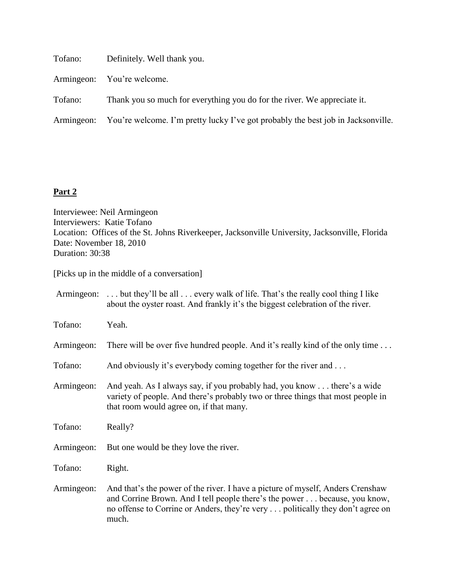| Tofano: | Definitely. Well thank you.                                                                 |
|---------|---------------------------------------------------------------------------------------------|
|         | Armingeon: You're welcome.                                                                  |
| Tofano: | Thank you so much for everything you do for the river. We appreciate it.                    |
|         | Armingeon: You're welcome. I'm pretty lucky I've got probably the best job in Jacksonville. |
|         |                                                                                             |

## **Part 2**

Interviewee: Neil Armingeon Interviewers: Katie Tofano Location: Offices of the St. Johns Riverkeeper, Jacksonville University, Jacksonville, Florida Date: November 18, 2010 Duration: 30:38

[Picks up in the middle of a conversation]

|            | Armingeon:  but they'll be all  every walk of life. That's the really cool thing I like<br>about the oyster roast. And frankly it's the biggest celebration of the river.                                                                             |
|------------|-------------------------------------------------------------------------------------------------------------------------------------------------------------------------------------------------------------------------------------------------------|
| Tofano:    | Yeah.                                                                                                                                                                                                                                                 |
| Armingeon: | There will be over five hundred people. And it's really kind of the only time                                                                                                                                                                         |
| Tofano:    | And obviously it's everybody coming together for the river and                                                                                                                                                                                        |
| Armingeon: | And yeah. As I always say, if you probably had, you know there's a wide<br>variety of people. And there's probably two or three things that most people in<br>that room would agree on, if that many.                                                 |
| Tofano:    | Really?                                                                                                                                                                                                                                               |
| Armingeon: | But one would be they love the river.                                                                                                                                                                                                                 |
| Tofano:    | Right.                                                                                                                                                                                                                                                |
| Armingeon: | And that's the power of the river. I have a picture of myself, Anders Crenshaw<br>and Corrine Brown. And I tell people there's the power because, you know,<br>no offense to Corrine or Anders, they're very politically they don't agree on<br>much. |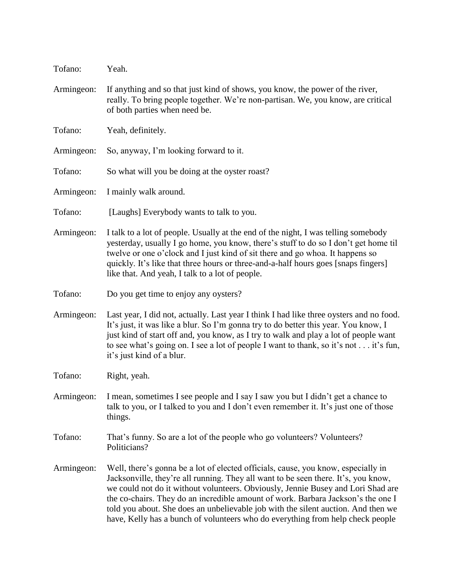| Tofano:    | Yeah.                                                                                                                                                                                                                                                                                                                                                                                                                                                                                                                  |
|------------|------------------------------------------------------------------------------------------------------------------------------------------------------------------------------------------------------------------------------------------------------------------------------------------------------------------------------------------------------------------------------------------------------------------------------------------------------------------------------------------------------------------------|
| Armingeon: | If anything and so that just kind of shows, you know, the power of the river,<br>really. To bring people together. We're non-partisan. We, you know, are critical<br>of both parties when need be.                                                                                                                                                                                                                                                                                                                     |
| Tofano:    | Yeah, definitely.                                                                                                                                                                                                                                                                                                                                                                                                                                                                                                      |
| Armingeon: | So, anyway, I'm looking forward to it.                                                                                                                                                                                                                                                                                                                                                                                                                                                                                 |
| Tofano:    | So what will you be doing at the oyster roast?                                                                                                                                                                                                                                                                                                                                                                                                                                                                         |
| Armingeon: | I mainly walk around.                                                                                                                                                                                                                                                                                                                                                                                                                                                                                                  |
| Tofano:    | [Laughs] Everybody wants to talk to you.                                                                                                                                                                                                                                                                                                                                                                                                                                                                               |
| Armingeon: | I talk to a lot of people. Usually at the end of the night, I was telling somebody<br>yesterday, usually I go home, you know, there's stuff to do so I don't get home til<br>twelve or one o'clock and I just kind of sit there and go whoa. It happens so<br>quickly. It's like that three hours or three-and-a-half hours goes [snaps fingers]<br>like that. And yeah, I talk to a lot of people.                                                                                                                    |
| Tofano:    | Do you get time to enjoy any oysters?                                                                                                                                                                                                                                                                                                                                                                                                                                                                                  |
| Armingeon: | Last year, I did not, actually. Last year I think I had like three oysters and no food.<br>It's just, it was like a blur. So I'm gonna try to do better this year. You know, I<br>just kind of start off and, you know, as I try to walk and play a lot of people want<br>to see what's going on. I see a lot of people I want to thank, so it's not it's fun,<br>it's just kind of a blur.                                                                                                                            |
| Tofano:    | Right, yeah.                                                                                                                                                                                                                                                                                                                                                                                                                                                                                                           |
| Armingeon: | I mean, sometimes I see people and I say I saw you but I didn't get a chance to<br>talk to you, or I talked to you and I don't even remember it. It's just one of those<br>things.                                                                                                                                                                                                                                                                                                                                     |
| Tofano:    | That's funny. So are a lot of the people who go volunteers? Volunteers?<br>Politicians?                                                                                                                                                                                                                                                                                                                                                                                                                                |
| Armingeon: | Well, there's gonna be a lot of elected officials, cause, you know, especially in<br>Jacksonville, they're all running. They all want to be seen there. It's, you know,<br>we could not do it without volunteers. Obviously, Jennie Busey and Lori Shad are<br>the co-chairs. They do an incredible amount of work. Barbara Jackson's the one I<br>told you about. She does an unbelievable job with the silent auction. And then we<br>have, Kelly has a bunch of volunteers who do everything from help check people |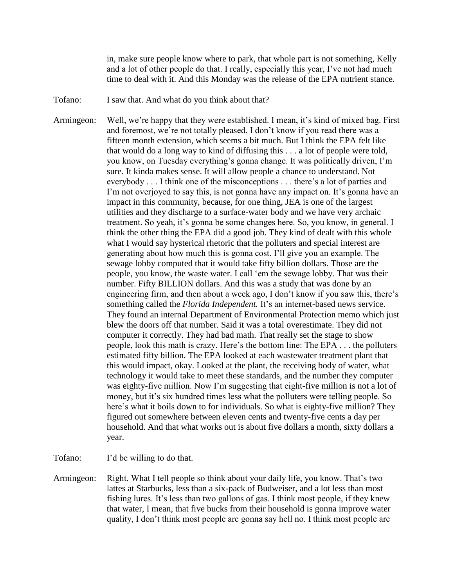in, make sure people know where to park, that whole part is not something, Kelly and a lot of other people do that. I really, especially this year, I've not had much time to deal with it. And this Monday was the release of the EPA nutrient stance.

Tofano: I saw that. And what do you think about that?

Armingeon: Well, we're happy that they were established. I mean, it's kind of mixed bag. First and foremost, we're not totally pleased. I don't know if you read there was a fifteen month extension, which seems a bit much. But I think the EPA felt like that would do a long way to kind of diffusing this . . . a lot of people were told, you know, on Tuesday everything's gonna change. It was politically driven, I'm sure. It kinda makes sense. It will allow people a chance to understand. Not everybody . . . I think one of the misconceptions . . . there's a lot of parties and I'm not overjoyed to say this, is not gonna have any impact on. It's gonna have an impact in this community, because, for one thing, JEA is one of the largest utilities and they discharge to a surface-water body and we have very archaic treatment. So yeah, it's gonna be some changes here. So, you know, in general. I think the other thing the EPA did a good job. They kind of dealt with this whole what I would say hysterical rhetoric that the polluters and special interest are generating about how much this is gonna cost. I'll give you an example. The sewage lobby computed that it would take fifty billion dollars. Those are the people, you know, the waste water. I call 'em the sewage lobby. That was their number. Fifty BILLION dollars. And this was a study that was done by an engineering firm, and then about a week ago, I don't know if you saw this, there's something called the *Florida Independent.* It's an internet-based news service. They found an internal Department of Environmental Protection memo which just blew the doors off that number. Said it was a total overestimate. They did not computer it correctly. They had bad math. That really set the stage to show people, look this math is crazy. Here's the bottom line: The EPA . . . the polluters estimated fifty billion. The EPA looked at each wastewater treatment plant that this would impact, okay. Looked at the plant, the receiving body of water, what technology it would take to meet these standards, and the number they computer was eighty-five million. Now I'm suggesting that eight-five million is not a lot of money, but it's six hundred times less what the polluters were telling people. So here's what it boils down to for individuals. So what is eighty-five million? They figured out somewhere between eleven cents and twenty-five cents a day per household. And that what works out is about five dollars a month, sixty dollars a year.

Tofano: I'd be willing to do that.

Armingeon: Right. What I tell people so think about your daily life, you know. That's two lattes at Starbucks, less than a six-pack of Budweiser, and a lot less than most fishing lures. It's less than two gallons of gas. I think most people, if they knew that water, I mean, that five bucks from their household is gonna improve water quality, I don't think most people are gonna say hell no. I think most people are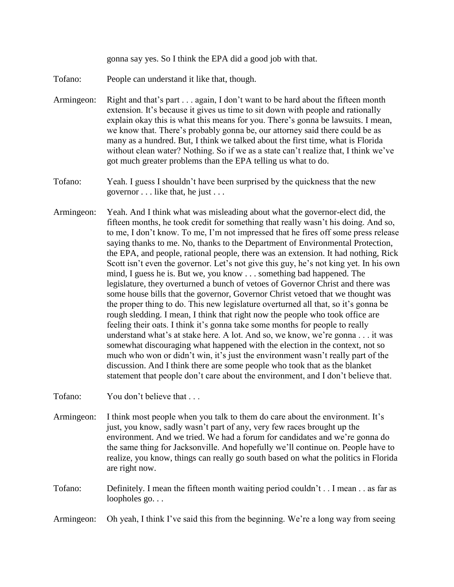gonna say yes. So I think the EPA did a good job with that.

- Tofano: People can understand it like that, though.
- Armingeon: Right and that's part . . . again, I don't want to be hard about the fifteen month extension. It's because it gives us time to sit down with people and rationally explain okay this is what this means for you. There's gonna be lawsuits. I mean, we know that. There's probably gonna be, our attorney said there could be as many as a hundred. But, I think we talked about the first time, what is Florida without clean water? Nothing. So if we as a state can't realize that, I think we've got much greater problems than the EPA telling us what to do.
- Tofano: Yeah. I guess I shouldn't have been surprised by the quickness that the new governor . . . like that, he just . . .
- Armingeon: Yeah. And I think what was misleading about what the governor-elect did, the fifteen months, he took credit for something that really wasn't his doing. And so, to me, I don't know. To me, I'm not impressed that he fires off some press release saying thanks to me. No, thanks to the Department of Environmental Protection, the EPA, and people, rational people, there was an extension. It had nothing, Rick Scott isn't even the governor. Let's not give this guy, he's not king yet. In his own mind, I guess he is. But we, you know . . . something bad happened. The legislature, they overturned a bunch of vetoes of Governor Christ and there was some house bills that the governor, Governor Christ vetoed that we thought was the proper thing to do. This new legislature overturned all that, so it's gonna be rough sledding. I mean, I think that right now the people who took office are feeling their oats. I think it's gonna take some months for people to really understand what's at stake here. A lot. And so, we know, we're gonna . . . it was somewhat discouraging what happened with the election in the context, not so much who won or didn't win, it's just the environment wasn't really part of the discussion. And I think there are some people who took that as the blanket statement that people don't care about the environment, and I don't believe that.

Tofano: You don't believe that ...

- Armingeon: I think most people when you talk to them do care about the environment. It's just, you know, sadly wasn't part of any, very few races brought up the environment. And we tried. We had a forum for candidates and we're gonna do the same thing for Jacksonville. And hopefully we'll continue on. People have to realize, you know, things can really go south based on what the politics in Florida are right now.
- Tofano: Definitely. I mean the fifteen month waiting period couldn't . . I mean . . as far as loopholes go...

Armingeon: Oh yeah, I think I've said this from the beginning. We're a long way from seeing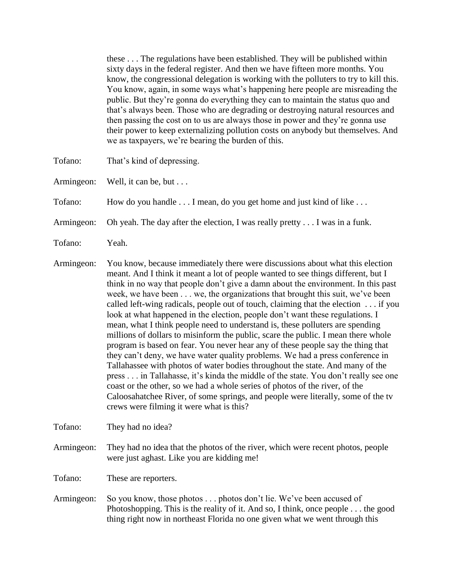these . . . The regulations have been established. They will be published within sixty days in the federal register. And then we have fifteen more months. You know, the congressional delegation is working with the polluters to try to kill this. You know, again, in some ways what's happening here people are misreading the public. But they're gonna do everything they can to maintain the status quo and that's always been. Those who are degrading or destroying natural resources and then passing the cost on to us are always those in power and they're gonna use their power to keep externalizing pollution costs on anybody but themselves. And we as taxpayers, we're bearing the burden of this.

- Tofano: That's kind of depressing.
- Armingeon: Well, it can be, but . . .

Tofano: How do you handle . . . I mean, do you get home and just kind of like . . .

- Armingeon: Oh yeah. The day after the election, I was really pretty . . . I was in a funk.
- Tofano: Yeah.
- Armingeon: You know, because immediately there were discussions about what this election meant. And I think it meant a lot of people wanted to see things different, but I think in no way that people don't give a damn about the environment. In this past week, we have been . . . we, the organizations that brought this suit, we've been called left-wing radicals, people out of touch, claiming that the election . . . if you look at what happened in the election, people don't want these regulations. I mean, what I think people need to understand is, these polluters are spending millions of dollars to misinform the public, scare the public. I mean there whole program is based on fear. You never hear any of these people say the thing that they can't deny, we have water quality problems. We had a press conference in Tallahassee with photos of water bodies throughout the state. And many of the press . . . in Tallahasse, it's kinda the middle of the state. You don't really see one coast or the other, so we had a whole series of photos of the river, of the Caloosahatchee River, of some springs, and people were literally, some of the tv crews were filming it were what is this?

Tofano: They had no idea?

Armingeon: They had no idea that the photos of the river, which were recent photos, people were just aghast. Like you are kidding me!

Tofano: These are reporters.

Armingeon: So you know, those photos . . . photos don't lie. We've been accused of Photoshopping. This is the reality of it. And so, I think, once people . . . the good thing right now in northeast Florida no one given what we went through this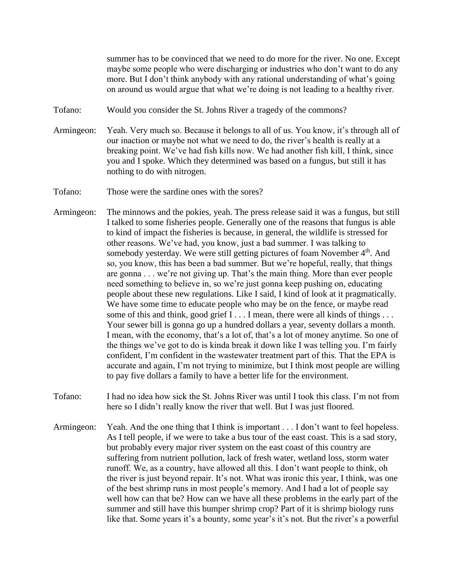summer has to be convinced that we need to do more for the river. No one. Except maybe some people who were discharging or industries who don't want to do any more. But I don't think anybody with any rational understanding of what's going on around us would argue that what we're doing is not leading to a healthy river.

- Tofano: Would you consider the St. Johns River a tragedy of the commons?
- Armingeon: Yeah. Very much so. Because it belongs to all of us. You know, it's through all of our inaction or maybe not what we need to do, the river's health is really at a breaking point. We've had fish kills now. We had another fish kill, I think, since you and I spoke. Which they determined was based on a fungus, but still it has nothing to do with nitrogen.
- Tofano: Those were the sardine ones with the sores?
- Armingeon: The minnows and the pokies, yeah. The press release said it was a fungus, but still I talked to some fisheries people. Generally one of the reasons that fungus is able to kind of impact the fisheries is because, in general, the wildlife is stressed for other reasons. We've had, you know, just a bad summer. I was talking to somebody yesterday. We were still getting pictures of foam November 4<sup>th</sup>. And so, you know, this has been a bad summer. But we're hopeful, really, that things are gonna . . . we're not giving up. That's the main thing. More than ever people need something to believe in, so we're just gonna keep pushing on, educating people about these new regulations. Like I said, I kind of look at it pragmatically. We have some time to educate people who may be on the fence, or maybe read some of this and think, good grief I . . . I mean, there were all kinds of things . . . Your sewer bill is gonna go up a hundred dollars a year, seventy dollars a month. I mean, with the economy, that's a lot of, that's a lot of money anytime. So one of the things we've got to do is kinda break it down like I was telling you. I'm fairly confident, I'm confident in the wastewater treatment part of this. That the EPA is accurate and again, I'm not trying to minimize, but I think most people are willing to pay five dollars a family to have a better life for the environment.
- Tofano: I had no idea how sick the St. Johns River was until I took this class. I'm not from here so I didn't really know the river that well. But I was just floored.
- Armingeon: Yeah. And the one thing that I think is important . . . I don't want to feel hopeless. As I tell people, if we were to take a bus tour of the east coast. This is a sad story, but probably every major river system on the east coast of this country are suffering from nutrient pollution, lack of fresh water, wetland loss, storm water runoff. We, as a country, have allowed all this. I don't want people to think, oh the river is just beyond repair. It's not. What was ironic this year, I think, was one of the best shrimp runs in most people's memory. And I had a lot of people say well how can that be? How can we have all these problems in the early part of the summer and still have this bumper shrimp crop? Part of it is shrimp biology runs like that. Some years it's a bounty, some year's it's not. But the river's a powerful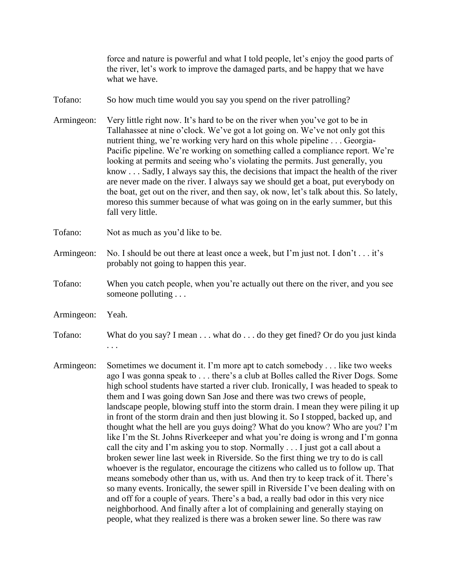force and nature is powerful and what I told people, let's enjoy the good parts of the river, let's work to improve the damaged parts, and be happy that we have what we have.

- Tofano: So how much time would you say you spend on the river patrolling?
- Armingeon: Very little right now. It's hard to be on the river when you've got to be in Tallahassee at nine o'clock. We've got a lot going on. We've not only got this nutrient thing, we're working very hard on this whole pipeline . . . Georgia-Pacific pipeline. We're working on something called a compliance report. We're looking at permits and seeing who's violating the permits. Just generally, you know . . . Sadly, I always say this, the decisions that impact the health of the river are never made on the river. I always say we should get a boat, put everybody on the boat, get out on the river, and then say, ok now, let's talk about this. So lately, moreso this summer because of what was going on in the early summer, but this fall very little.
- Tofano: Not as much as you'd like to be.
- Armingeon: No. I should be out there at least once a week, but I'm just not. I don't . . . it's probably not going to happen this year.
- Tofano: When you catch people, when you're actually out there on the river, and you see someone polluting . . .
- Armingeon: Yeah.
- Tofano: What do you say? I mean . . . what do . . . do they get fined? Or do you just kinda . . .
- Armingeon: Sometimes we document it. I'm more apt to catch somebody . . . like two weeks ago I was gonna speak to . . . there's a club at Bolles called the River Dogs. Some high school students have started a river club. Ironically, I was headed to speak to them and I was going down San Jose and there was two crews of people, landscape people, blowing stuff into the storm drain. I mean they were piling it up in front of the storm drain and then just blowing it. So I stopped, backed up, and thought what the hell are you guys doing? What do you know? Who are you? I'm like I'm the St. Johns Riverkeeper and what you're doing is wrong and I'm gonna call the city and I'm asking you to stop. Normally . . . I just got a call about a broken sewer line last week in Riverside. So the first thing we try to do is call whoever is the regulator, encourage the citizens who called us to follow up. That means somebody other than us, with us. And then try to keep track of it. There's so many events. Ironically, the sewer spill in Riverside I've been dealing with on and off for a couple of years. There's a bad, a really bad odor in this very nice neighborhood. And finally after a lot of complaining and generally staying on people, what they realized is there was a broken sewer line. So there was raw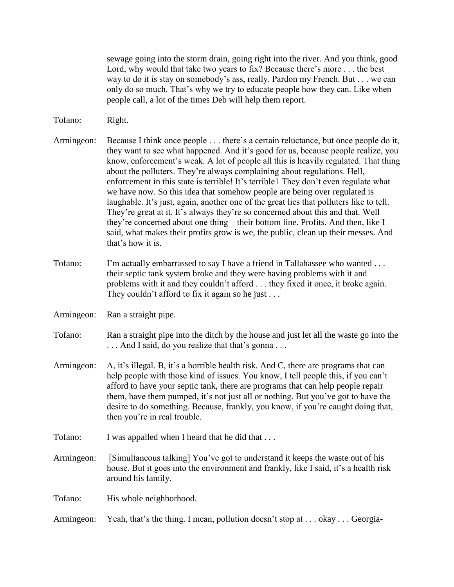sewage going into the storm drain, going right into the river. And you think, good Lord, why would that take two years to fix? Because there's more . . . the best way to do it is stay on somebody's ass, really. Pardon my French. But . . . we can only do so much. That's why we try to educate people how they can. Like when people call, a lot of the times Deb will help them report.

Tofano: Right.

Armingeon: Because I think once people . . . there's a certain reluctance, but once people do it, they want to see what happened. And it's good for us, because people realize, you know, enforcement's weak. A lot of people all this is heavily regulated. That thing about the polluters. They're always complaining about regulations. Hell, enforcement in this state is terrible! It's terrible1 They don't even regulate what we have now. So this idea that somehow people are being over regulated is laughable. It's just, again, another one of the great lies that polluters like to tell. They're great at it. It's always they're so concerned about this and that. Well they're concerned about one thing – their bottom line. Profits. And then, like I said, what makes their profits grow is we, the public, clean up their messes. And that's how it is.

- Tofano: I'm actually embarrassed to say I have a friend in Tallahassee who wanted . . . their septic tank system broke and they were having problems with it and problems with it and they couldn't afford . . . they fixed it once, it broke again. They couldn't afford to fix it again so he just  $\dots$
- Armingeon: Ran a straight pipe.
- Tofano: Ran a straight pipe into the ditch by the house and just let all the waste go into the . . . And I said, do you realize that that's gonna . . .
- Armingeon: A, it's illegal. B, it's a horrible health risk. And C, there are programs that can help people with those kind of issues. You know, I tell people this, if you can't afford to have your septic tank, there are programs that can help people repair them, have them pumped, it's not just all or nothing. But you've got to have the desire to do something. Because, frankly, you know, if you're caught doing that, then you're in real trouble.
- Tofano: I was appalled when I heard that he did that ...
- Armingeon: [Simultaneous talking] You've got to understand it keeps the waste out of his house. But it goes into the environment and frankly, like I said, it's a health risk around his family.

Tofano: His whole neighborhood.

Armingeon: Yeah, that's the thing. I mean, pollution doesn't stop at . . . okay . . . Georgia-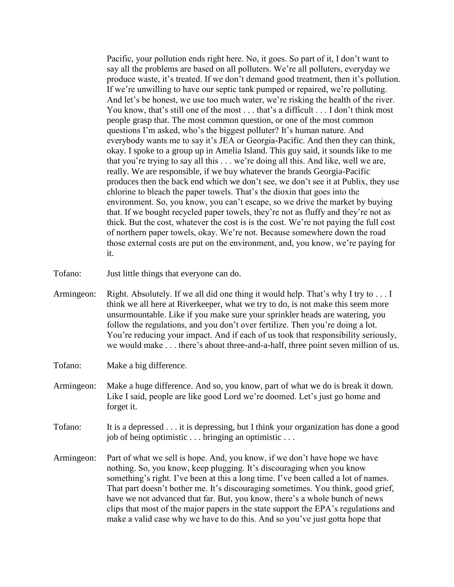Pacific, your pollution ends right here. No, it goes. So part of it, I don't want to say all the problems are based on all polluters. We're all polluters, everyday we produce waste, it's treated. If we don't demand good treatment, then it's pollution. If we're unwilling to have our septic tank pumped or repaired, we're polluting. And let's be honest, we use too much water, we're risking the health of the river. You know, that's still one of the most . . . that's a difficult . . . I don't think most people grasp that. The most common question, or one of the most common questions I'm asked, who's the biggest polluter? It's human nature. And everybody wants me to say it's JEA or Georgia-Pacific. And then they can think, okay. I spoke to a group up in Amelia Island. This guy said, it sounds like to me that you're trying to say all this . . . we're doing all this. And like, well we are, really. We are responsible, if we buy whatever the brands Georgia-Pacific produces then the back end which we don't see, we don't see it at Publix, they use chlorine to bleach the paper towels. That's the dioxin that goes into the environment. So, you know, you can't escape, so we drive the market by buying that. If we bought recycled paper towels, they're not as fluffy and they're not as thick. But the cost, whatever the cost is is the cost. We're not paying the full cost of northern paper towels, okay. We're not. Because somewhere down the road those external costs are put on the environment, and, you know, we're paying for it.

- Tofano: Just little things that everyone can do.
- Armingeon: Right. Absolutely. If we all did one thing it would help. That's why I try to . . . I think we all here at Riverkeeper, what we try to do, is not make this seem more unsurmountable. Like if you make sure your sprinkler heads are watering, you follow the regulations, and you don't over fertilize. Then you're doing a lot. You're reducing your impact. And if each of us took that responsibility seriously, we would make . . . there's about three-and-a-half, three point seven million of us.
- Tofano: Make a big difference.
- Armingeon: Make a huge difference. And so, you know, part of what we do is break it down. Like I said, people are like good Lord we're doomed. Let's just go home and forget it.
- Tofano: It is a depressed . . . it is depressing, but I think your organization has done a good job of being optimistic . . . bringing an optimistic . . .
- Armingeon: Part of what we sell is hope. And, you know, if we don't have hope we have nothing. So, you know, keep plugging. It's discouraging when you know something's right. I've been at this a long time. I've been called a lot of names. That part doesn't bother me. It's discouraging sometimes. You think, good grief, have we not advanced that far. But, you know, there's a whole bunch of news clips that most of the major papers in the state support the EPA's regulations and make a valid case why we have to do this. And so you've just gotta hope that